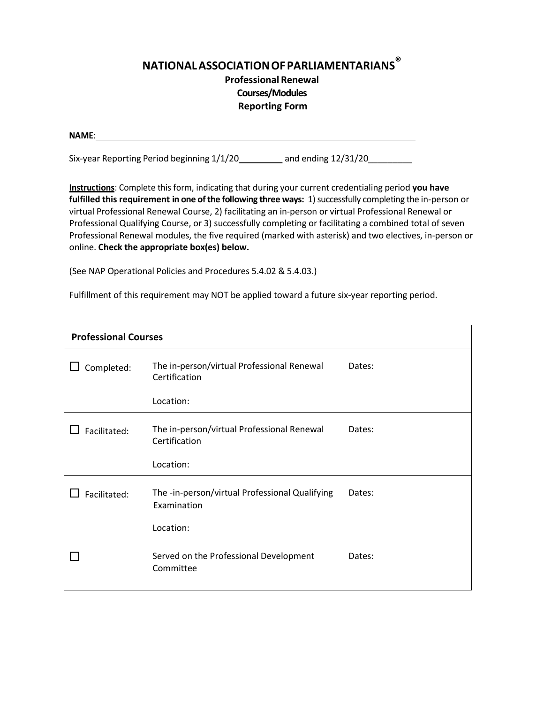## **NATIONALASSOCIATIONOFPARLIAMENTARIANS ® Professional Renewal Courses/Modules Reporting Form**

| <b>NAME:</b> |  |  |  |
|--------------|--|--|--|
|              |  |  |  |
|              |  |  |  |

Six-year Reporting Period beginning  $1/1/20$  and ending  $12/31/20$ 

**Instructions**: Complete this form, indicating that during your current credentialing period **you have fulfilled this requirement in one of the following three ways: 1) successfully completing the in-person or** virtual Professional Renewal Course, 2) facilitating an in‐person or virtual Professional Renewal or Professional Qualifying Course, or 3) successfully completing or facilitating a combined total of seven Professional Renewal modules, the five required (marked with asterisk) and two electives, in‐person or online. **Check the appropriate box(es) below.**

(See NAP Operational Policies and Procedures 5.4.02 & 5.4.03.)

Fulfillment of this requirement may NOT be applied toward a future six-year reporting period.

| <b>Professional Courses</b> |                                                               |        |  |  |
|-----------------------------|---------------------------------------------------------------|--------|--|--|
| Completed:                  | The in-person/virtual Professional Renewal<br>Certification   | Dates: |  |  |
|                             | Location:                                                     |        |  |  |
| Facilitated:                | The in-person/virtual Professional Renewal<br>Certification   | Dates: |  |  |
|                             | Location:                                                     |        |  |  |
| Facilitated:                | The -in-person/virtual Professional Qualifying<br>Examination | Dates: |  |  |
|                             | Location:                                                     |        |  |  |
|                             | Served on the Professional Development<br>Committee           | Dates: |  |  |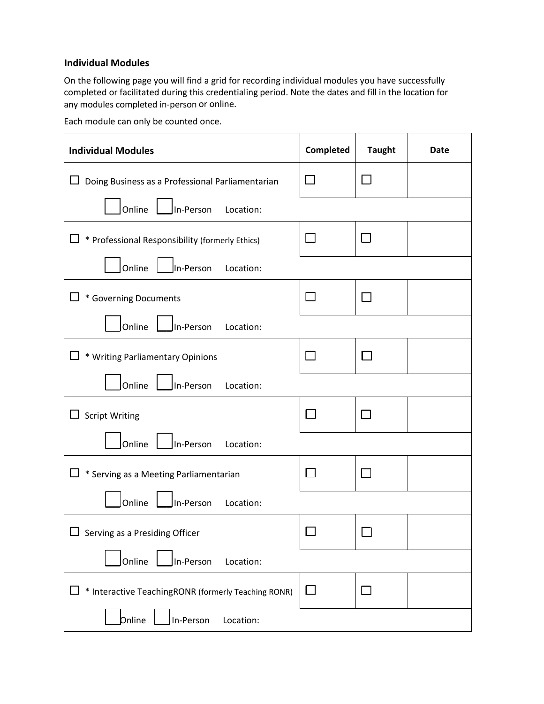## **Individual Modules**

On the following page you will find a grid for recording individual modules you have successfully completed or facilitated during this credentialing period. Note the dates and fill in the location for any modules completed in‐person or online.

Each module can only be counted once.

| <b>Individual Modules</b>                           | Completed | <b>Taught</b> | <b>Date</b> |  |
|-----------------------------------------------------|-----------|---------------|-------------|--|
| Doing Business as a Professional Parliamentarian    |           |               |             |  |
| Online<br>In-Person<br>Location:                    |           |               |             |  |
| * Professional Responsibility (formerly Ethics)     | $\sim$    |               |             |  |
| Online<br>In-Person<br>Location:                    |           |               |             |  |
| * Governing Documents                               | $\sim$    |               |             |  |
| Online<br>In-Person<br>Location:                    |           |               |             |  |
| * Writing Parliamentary Opinions                    | $\sim$    | $\Box$        |             |  |
| Online<br>In-Person<br>Location:                    |           |               |             |  |
| <b>Script Writing</b>                               |           |               |             |  |
| Online<br>In-Person<br>Location:                    |           |               |             |  |
| * Serving as a Meeting Parliamentarian              | $\sim$    |               |             |  |
| Online<br>In-Person<br>Location:                    |           |               |             |  |
| Serving as a Presiding Officer                      |           |               |             |  |
| Online<br>In-Person<br>Location:                    |           |               |             |  |
| * Interactive TeachingRONR (formerly Teaching RONR) |           |               |             |  |
| bnline<br>In-Person<br>Location:                    |           |               |             |  |